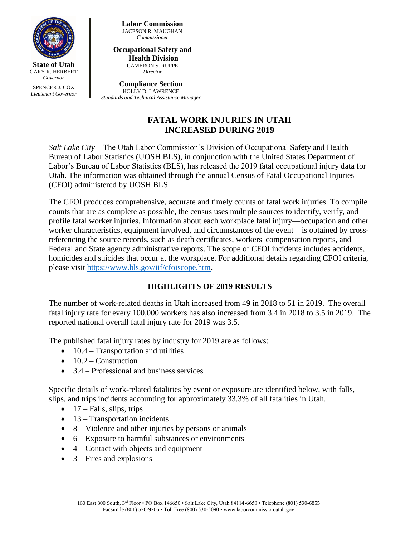

SPENCER J. COX *Lieutenant Governor* **Labor Commission** JACESON R. MAUGHAN *Commissioner*

#### **Occupational Safety and Health Division** CAMERON S. RUPPE

*Director*

**Compliance Section** HOLLY D. LAWRENCE *Standards and Technical Assistance Manager*

# **FATAL WORK INJURIES IN UTAH INCREASED DURING 2019**

*Salt Lake City* – The Utah Labor Commission's Division of Occupational Safety and Health Bureau of Labor Statistics (UOSH BLS), in conjunction with the United States Department of Labor's Bureau of Labor Statistics (BLS), has released the 2019 fatal occupational injury data for Utah. The information was obtained through the annual Census of Fatal Occupational Injuries (CFOI) administered by UOSH BLS.

The CFOI produces comprehensive, accurate and timely counts of fatal work injuries. To compile counts that are as complete as possible, the census uses multiple sources to identify, verify, and profile fatal worker injuries. Information about each workplace fatal injury—occupation and other worker characteristics, equipment involved, and circumstances of the event—is obtained by crossreferencing the source records, such as death certificates, workers' compensation reports, and Federal and State agency administrative reports. The scope of CFOI incidents includes accidents, homicides and suicides that occur at the workplace. For additional details regarding CFOI criteria, please visit [https://www.bls.gov/iif/cfoiscope.htm.](https://www.bls.gov/iif/cfoiscope.htm)

## **HIGHLIGHTS OF 2019 RESULTS**

The number of work-related deaths in Utah increased from 49 in 2018 to 51 in 2019. The overall fatal injury rate for every 100,000 workers has also increased from 3.4 in 2018 to 3.5 in 2019. The reported national overall fatal injury rate for 2019 was 3.5.

The published fatal injury rates by industry for 2019 are as follows:

- $\bullet$  10.4 Transportation and utilities
- $\bullet$  10.2 Construction
- $\bullet$  3.4 Professional and business services

Specific details of work-related fatalities by event or exposure are identified below, with falls, slips, and trips incidents accounting for approximately 33.3% of all fatalities in Utah.

- $\bullet$  17 Falls, slips, trips
- $\bullet$  13 Transportation incidents
- $\bullet$  8 Violence and other injuries by persons or animals
- $\bullet$  6 Exposure to harmful substances or environments
- $\bullet$  4 Contact with objects and equipment
- $\bullet$  3 Fires and explosions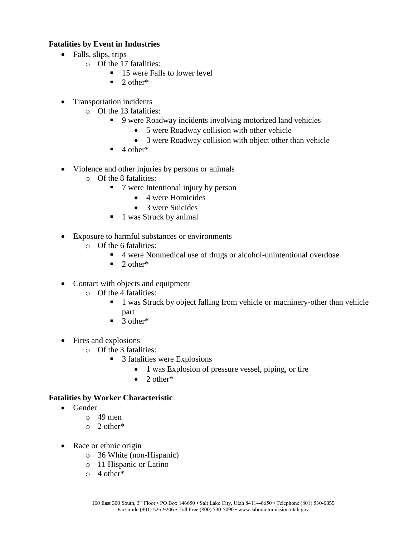### **Fatalities by Event in Industries**

- Falls, slips, trips
	- o Of the 17 fatalities:
		- 15 were Falls to lower level
		- $\blacksquare$  2 other\*
- Transportation incidents
	- o Of the 13 fatalities:
		- 9 were Roadway incidents involving motorized land vehicles
			- 5 were Roadway collision with other vehicle
			- 3 were Roadway collision with object other than vehicle
		- $\blacksquare$  4 other\*
- Violence and other injuries by persons or animals
	- o Of the 8 fatalities:
		- 7 were Intentional injury by person
			- 4 were Homicides
			- 3 were Suicides
		- 1 was Struck by animal
- Exposure to harmful substances or environments
	- o Of the 6 fatalities:
		- 4 were Nonmedical use of drugs or alcohol-unintentional overdose
		- $\blacksquare$  2 other<sup>\*</sup>
- Contact with objects and equipment
	- o Of the 4 fatalities:
		- 1 was Struck by object falling from vehicle or machinery-other than vehicle part
		- $\blacksquare$  3 other\*
- Fires and explosions
	- o Of the 3 fatalities:
		- 3 fatalities were Explosions
			- 1 was Explosion of pressure vessel, piping, or tire
			- $\bullet$  2 other\*

#### **Fatalities by Worker Characteristic**

- Gender
	- o 49 men
	- o 2 other\*
- Race or ethnic origin
	- o 36 White (non-Hispanic)
	- o 11 Hispanic or Latino
	- o 4 other\*